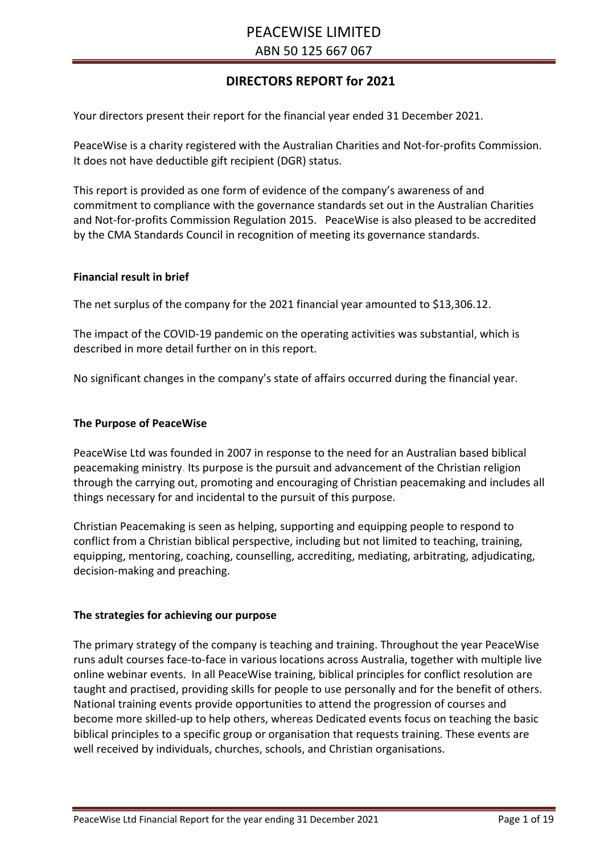# **DIRECTORS REPORT for 2021**

Your directors present their report for the financial year ended 31 December 2021.

PeaceWise is a charity registered with the Australian Charities and Not-for-profits Commission. It does not have deductible gift recipient (DGR) status.

This report is provided as one form of evidence of the company's awareness of and commitment to compliance with the governance standards set out in the Australian Charities and Not-for-profits Commission Regulation 2015. PeaceWise is also pleased to be accredited by the CMA Standards Council in recognition of meeting its governance standards.

#### **Financial result in brief**

The net surplus of the company for the 2021 financial year amounted to \$13,306.12.

The impact of the COVID-19 pandemic on the operating activities was substantial, which is described in more detail further on in this report.

No significant changes in the company's state of affairs occurred during the financial year.

#### **The Purpose of PeaceWise**

PeaceWise Ltd was founded in 2007 in response to the need for an Australian based biblical peacemaking ministry. Its purpose is the pursuit and advancement of the Christian religion through the carrying out, promoting and encouraging of Christian peacemaking and includes all things necessary for and incidental to the pursuit of this purpose.

Christian Peacemaking is seen as helping, supporting and equipping people to respond to conflict from a Christian biblical perspective, including but not limited to teaching, training, equipping, mentoring, coaching, counselling, accrediting, mediating, arbitrating, adjudicating, decision-making and preaching.

#### **The strategies for achieving our purpose**

The primary strategy of the company is teaching and training. Throughout the year PeaceWise runs adult courses face-to-face in various locations across Australia, together with multiple live online webinar events. In all PeaceWise training, biblical principles for conflict resolution are taught and practised, providing skills for people to use personally and for the benefit of others. National training events provide opportunities to attend the progression of courses and become more skilled-up to help others, whereas Dedicated events focus on teaching the basic biblical principles to a specific group or organisation that requests training. These events are well received by individuals, churches, schools, and Christian organisations.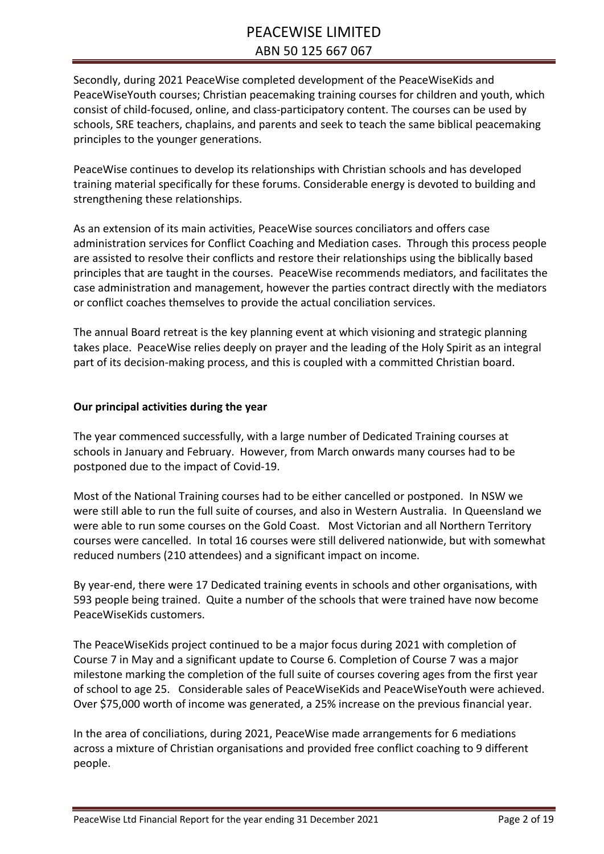Secondly, during 2021 PeaceWise completed development of the PeaceWiseKids and PeaceWiseYouth courses; Christian peacemaking training courses for children and youth, which consist of child-focused, online, and class-participatory content. The courses can be used by schools, SRE teachers, chaplains, and parents and seek to teach the same biblical peacemaking principles to the younger generations.

PeaceWise continues to develop its relationships with Christian schools and has developed training material specifically for these forums. Considerable energy is devoted to building and strengthening these relationships.

As an extension of its main activities, PeaceWise sources conciliators and offers case administration services for Conflict Coaching and Mediation cases. Through this process people are assisted to resolve their conflicts and restore their relationships using the biblically based principles that are taught in the courses. PeaceWise recommends mediators, and facilitates the case administration and management, however the parties contract directly with the mediators or conflict coaches themselves to provide the actual conciliation services.

The annual Board retreat is the key planning event at which visioning and strategic planning takes place. PeaceWise relies deeply on prayer and the leading of the Holy Spirit as an integral part of its decision-making process, and this is coupled with a committed Christian board.

## **Our principal activities during the year**

The year commenced successfully, with a large number of Dedicated Training courses at schools in January and February. However, from March onwards many courses had to be postponed due to the impact of Covid-19.

Most of the National Training courses had to be either cancelled or postponed. In NSW we were still able to run the full suite of courses, and also in Western Australia. In Queensland we were able to run some courses on the Gold Coast. Most Victorian and all Northern Territory courses were cancelled. In total 16 courses were still delivered nationwide, but with somewhat reduced numbers (210 attendees) and a significant impact on income.

By year-end, there were 17 Dedicated training events in schools and other organisations, with 593 people being trained. Quite a number of the schools that were trained have now become PeaceWiseKids customers.

The PeaceWiseKids project continued to be a major focus during 2021 with completion of Course 7 in May and a significant update to Course 6. Completion of Course 7 was a major milestone marking the completion of the full suite of courses covering ages from the first year of school to age 25. Considerable sales of PeaceWiseKids and PeaceWiseYouth were achieved. Over \$75,000 worth of income was generated, a 25% increase on the previous financial year.

In the area of conciliations, during 2021, PeaceWise made arrangements for 6 mediations across a mixture of Christian organisations and provided free conflict coaching to 9 different people.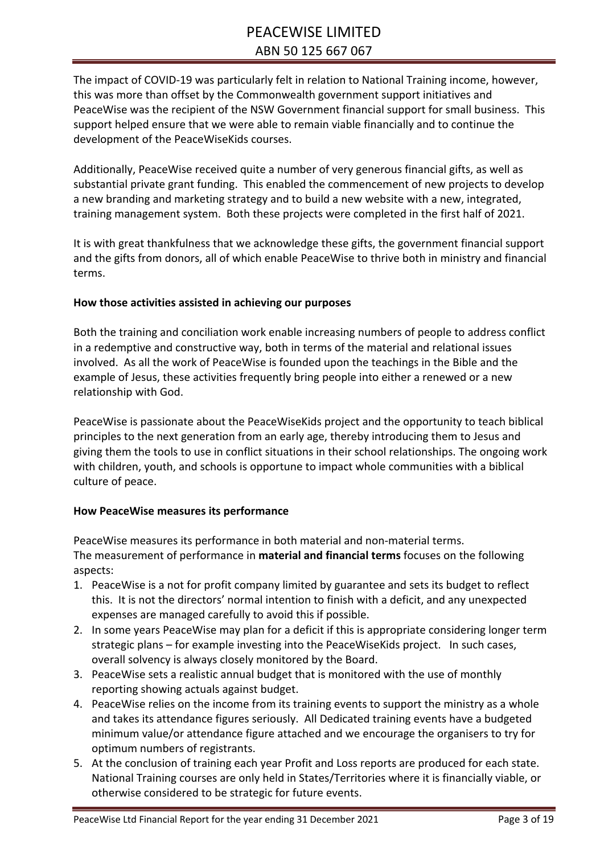The impact of COVID-19 was particularly felt in relation to National Training income, however, this was more than offset by the Commonwealth government support initiatives and PeaceWise was the recipient of the NSW Government financial support for small business. This support helped ensure that we were able to remain viable financially and to continue the development of the PeaceWiseKids courses.

Additionally, PeaceWise received quite a number of very generous financial gifts, as well as substantial private grant funding. This enabled the commencement of new projects to develop a new branding and marketing strategy and to build a new website with a new, integrated, training management system. Both these projects were completed in the first half of 2021.

It is with great thankfulness that we acknowledge these gifts, the government financial support and the gifts from donors, all of which enable PeaceWise to thrive both in ministry and financial terms.

# **How those activities assisted in achieving our purposes**

Both the training and conciliation work enable increasing numbers of people to address conflict in a redemptive and constructive way, both in terms of the material and relational issues involved. As all the work of PeaceWise is founded upon the teachings in the Bible and the example of Jesus, these activities frequently bring people into either a renewed or a new relationship with God.

PeaceWise is passionate about the PeaceWiseKids project and the opportunity to teach biblical principles to the next generation from an early age, thereby introducing them to Jesus and giving them the tools to use in conflict situations in their school relationships. The ongoing work with children, youth, and schools is opportune to impact whole communities with a biblical culture of peace.

# **How PeaceWise measures its performance**

PeaceWise measures its performance in both material and non-material terms. The measurement of performance in **material and financial terms** focuses on the following aspects:

- 1. PeaceWise is a not for profit company limited by guarantee and sets its budget to reflect this. It is not the directors' normal intention to finish with a deficit, and any unexpected expenses are managed carefully to avoid this if possible.
- 2. In some years PeaceWise may plan for a deficit if this is appropriate considering longer term strategic plans – for example investing into the PeaceWiseKids project. In such cases, overall solvency is always closely monitored by the Board.
- 3. PeaceWise sets a realistic annual budget that is monitored with the use of monthly reporting showing actuals against budget.
- 4. PeaceWise relies on the income from its training events to support the ministry as a whole and takes its attendance figures seriously. All Dedicated training events have a budgeted minimum value/or attendance figure attached and we encourage the organisers to try for optimum numbers of registrants.
- 5. At the conclusion of training each year Profit and Loss reports are produced for each state. National Training courses are only held in States/Territories where it is financially viable, or otherwise considered to be strategic for future events.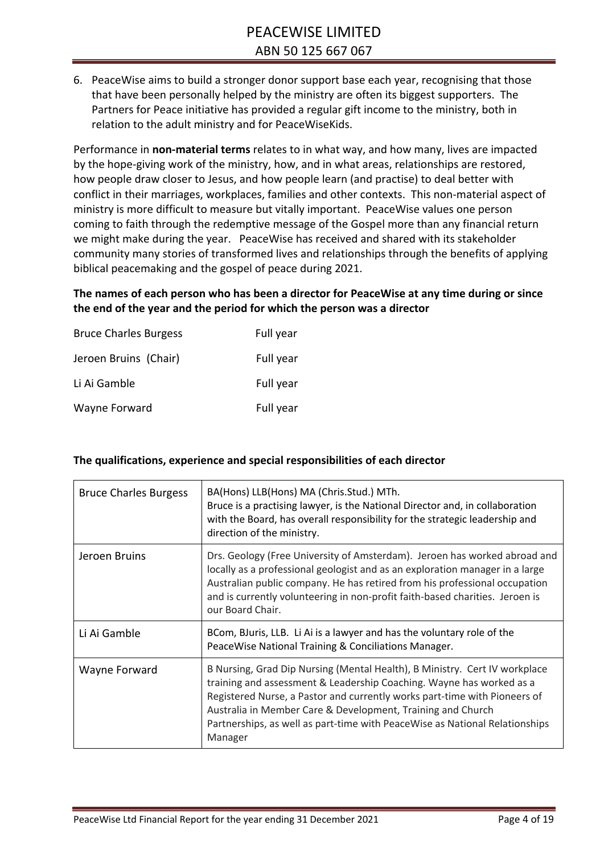6. PeaceWise aims to build a stronger donor support base each year, recognising that those that have been personally helped by the ministry are often its biggest supporters. The Partners for Peace initiative has provided a regular gift income to the ministry, both in relation to the adult ministry and for PeaceWiseKids.

Performance in **non-material terms** relates to in what way, and how many, lives are impacted by the hope-giving work of the ministry, how, and in what areas, relationships are restored, how people draw closer to Jesus, and how people learn (and practise) to deal better with conflict in their marriages, workplaces, families and other contexts. This non-material aspect of ministry is more difficult to measure but vitally important. PeaceWise values one person coming to faith through the redemptive message of the Gospel more than any financial return we might make during the year. PeaceWise has received and shared with its stakeholder community many stories of transformed lives and relationships through the benefits of applying biblical peacemaking and the gospel of peace during 2021.

**The names of each person who has been a director for PeaceWise at any time during or since the end of the year and the period for which the person was a director**

| <b>Bruce Charles Burgess</b> | Full year |
|------------------------------|-----------|
| Jeroen Bruins (Chair)        | Full year |
| Li Ai Gamble                 | Full year |
| Wayne Forward                | Full year |

## **The qualifications, experience and special responsibilities of each director**

| <b>Bruce Charles Burgess</b> | BA(Hons) LLB(Hons) MA (Chris.Stud.) MTh.<br>Bruce is a practising lawyer, is the National Director and, in collaboration<br>with the Board, has overall responsibility for the strategic leadership and<br>direction of the ministry.                                                                                                                                                    |
|------------------------------|------------------------------------------------------------------------------------------------------------------------------------------------------------------------------------------------------------------------------------------------------------------------------------------------------------------------------------------------------------------------------------------|
| Jeroen Bruins                | Drs. Geology (Free University of Amsterdam). Jeroen has worked abroad and<br>locally as a professional geologist and as an exploration manager in a large<br>Australian public company. He has retired from his professional occupation<br>and is currently volunteering in non-profit faith-based charities. Jeroen is<br>our Board Chair.                                              |
| Li Ai Gamble                 | BCom, BJuris, LLB. Li Ai is a lawyer and has the voluntary role of the<br>PeaceWise National Training & Conciliations Manager.                                                                                                                                                                                                                                                           |
| Wayne Forward                | B Nursing, Grad Dip Nursing (Mental Health), B Ministry. Cert IV workplace<br>training and assessment & Leadership Coaching. Wayne has worked as a<br>Registered Nurse, a Pastor and currently works part-time with Pioneers of<br>Australia in Member Care & Development, Training and Church<br>Partnerships, as well as part-time with PeaceWise as National Relationships<br>Manager |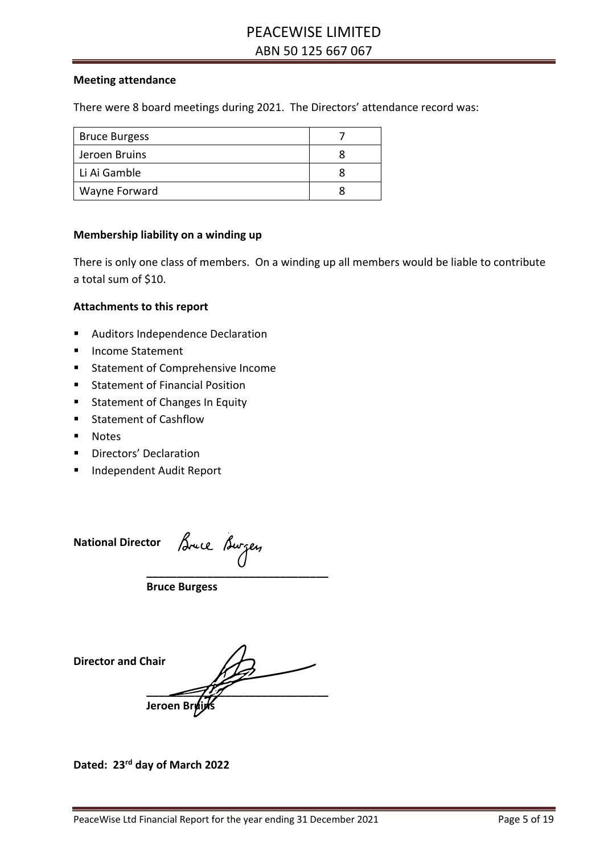#### **Meeting attendance**

There were 8 board meetings during 2021. The Directors' attendance record was:

| <b>Bruce Burgess</b> |  |
|----------------------|--|
| Jeroen Bruins        |  |
| Li Ai Gamble         |  |
| Wayne Forward        |  |

#### **Membership liability on a winding up**

There is only one class of members. On a winding up all members would be liable to contribute a total sum of \$10.

#### **Attachments to this report**

- Auditors Independence Declaration
- Income Statement
- Statement of Comprehensive Income
- Statement of Financial Position
- Statement of Changes In Equity
- Statement of Cashflow
- § Notes
- Directors' Declaration
- Independent Audit Report

**National Director Luce** Burgey **\_\_\_\_\_\_\_\_\_\_\_\_\_\_\_\_\_\_\_\_\_\_\_\_\_\_\_\_\_\_**

**Bruce Burgess**

**Director and Chair \_\_\_\_\_\_\_\_\_\_\_\_\_\_\_\_\_\_\_\_\_\_\_\_\_\_\_\_\_\_ Jeroen Bru** 

**Dated: 23rd day of March 2022**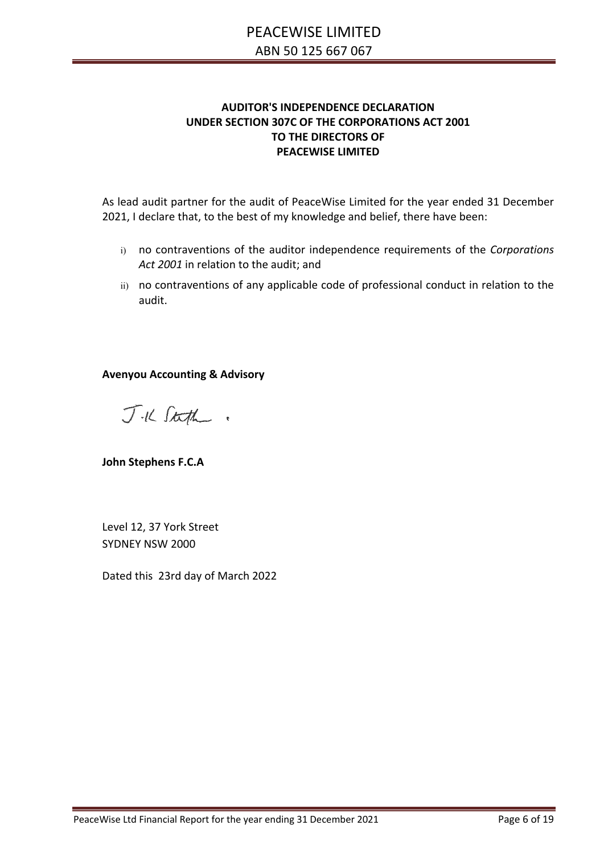#### **AUDITOR'S INDEPENDENCE DECLARATION** AUDITOR'S INDEPENDENCE DECLARATION<br>UNDER SECTION 307C OF THE CORPORATIONS ACT 2001 **THE DIRECTORS OF AUDITION CONDUCTS OF AUDIT CONDUCTS AND AUDIT CONDUCTS PEACEWISE LIMITED STANDARD MISSTANDARDS WILL ALWAYS DETECT AND IT EXISTS. MISSTANDARDS WHEN IT EXISTS. MISSTANDARD WHEN IT EXISTS. MISSISTS. MISSISTS. MISSISTS. MISSISTS. MISSISTS. MISSISTS. MISSISTS. MISSISTS. MISSISTS. MISSISTS. MISSISTS**

As lead audit partner for the audit of PeaceWise Limited for the year ended 31 December 2021, I declare that, to the best of my knowledge and belief, there have been:

- i) no contraventions of the auditor independence requirements of the *Corporations*<br>Act 2001 in relation to the audit: and *Act 2001* in relation to the audit; and
- ii) no contraventions of any applicable code of professional conduct in relation to the audit. http://www.audit.com/Home.aspx. This description for our auditor's report. This description for our auditor's report.

**Avenyou Accounting & Advisory**

*CtcfL- <sup>&</sup>gt;*

**John Stephens F.C.A**

Level 12, 37 York Street SYDNEY NSW 2000

Dated this 23rd day of March 2022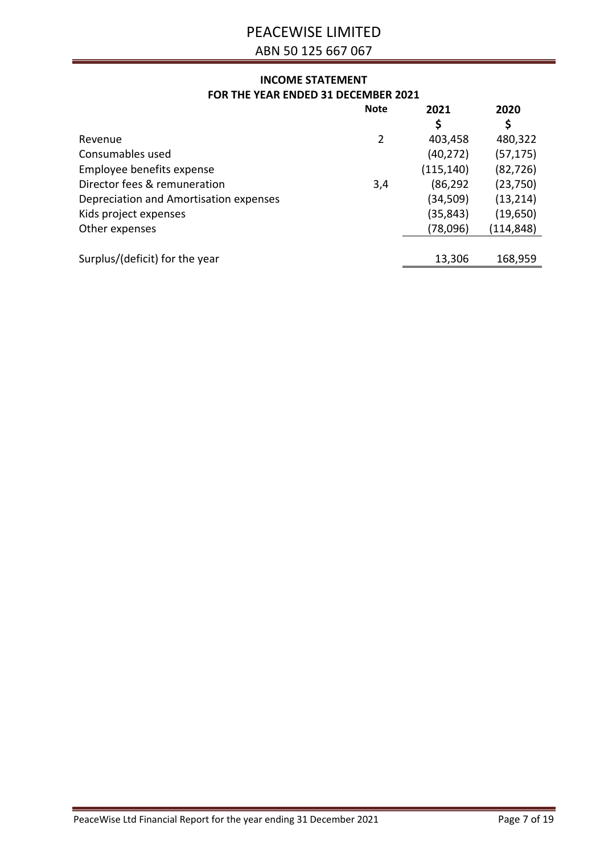# PEACEWISE LIMITED

ABN 50 125 667 067

# **INCOME STATEMENT FOR THE YEAR ENDED 31 DECEMBER 2021**

|                                        | <b>Note</b> | 2021       | 2020      |
|----------------------------------------|-------------|------------|-----------|
|                                        |             | \$         | \$        |
| Revenue                                | 2           | 403,458    | 480,322   |
| Consumables used                       |             | (40, 272)  | (57, 175) |
| Employee benefits expense              |             | (115, 140) | (82, 726) |
| Director fees & remuneration           | 3,4         | (86, 292)  | (23,750)  |
| Depreciation and Amortisation expenses |             | (34,509)   | (13, 214) |
| Kids project expenses                  |             | (35, 843)  | (19, 650) |
| Other expenses                         |             | (78,096)   | (114,848) |
|                                        |             |            |           |
| Surplus/(deficit) for the year         |             | 13,306     | 168,959   |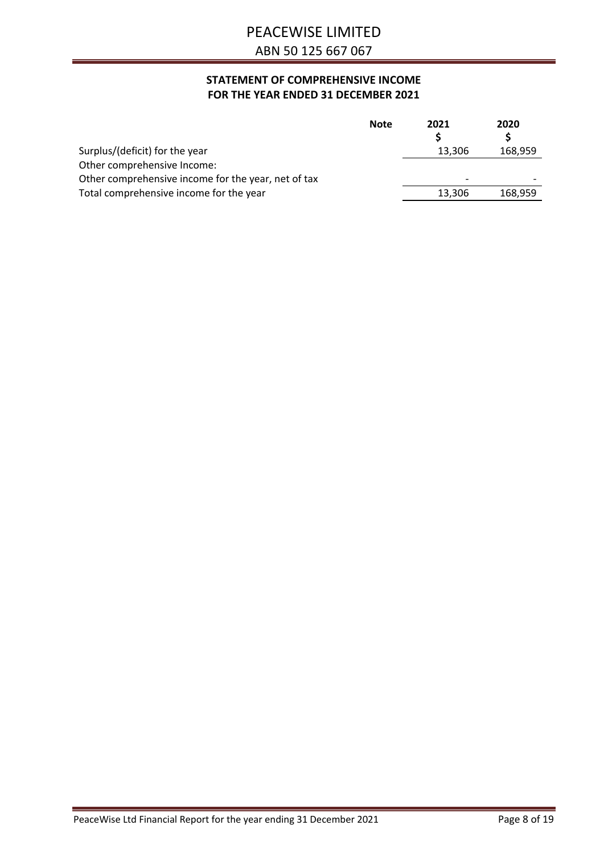# **STATEMENT OF COMPREHENSIVE INCOME FOR THE YEAR ENDED 31 DECEMBER 2021**

|                                                     | <b>Note</b> | 2021   | 2020    |
|-----------------------------------------------------|-------------|--------|---------|
|                                                     |             |        |         |
| Surplus/(deficit) for the year                      |             | 13,306 | 168,959 |
| Other comprehensive Income:                         |             |        |         |
| Other comprehensive income for the year, net of tax |             | ۰      |         |
| Total comprehensive income for the year             |             | 13,306 | 168,959 |
|                                                     |             |        |         |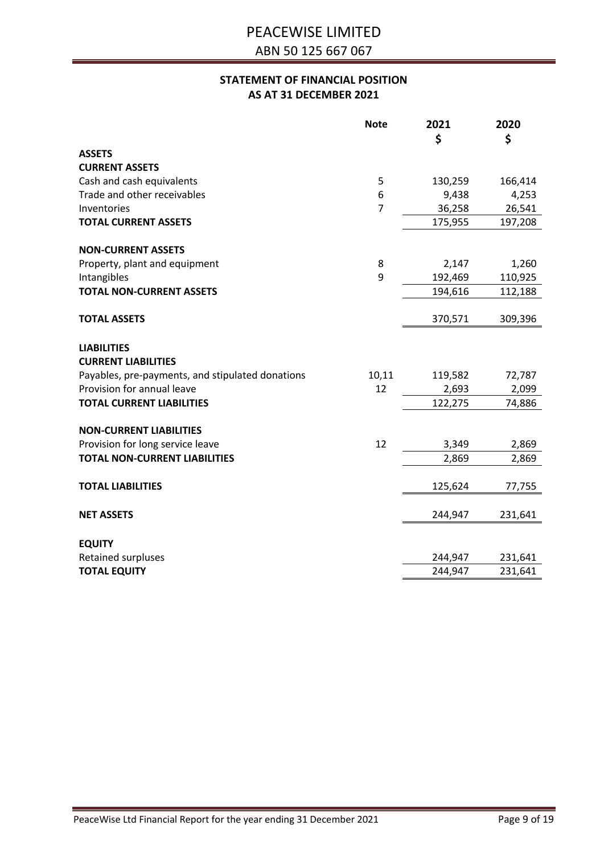# **STATEMENT OF FINANCIAL POSITION AS AT 31 DECEMBER 2021**

|                                                  | <b>Note</b>    | 2021    | 2020    |
|--------------------------------------------------|----------------|---------|---------|
|                                                  |                | \$      | \$      |
| <b>ASSETS</b>                                    |                |         |         |
| <b>CURRENT ASSETS</b>                            |                |         |         |
| Cash and cash equivalents                        | 5              | 130,259 | 166,414 |
| Trade and other receivables                      | 6              | 9,438   | 4,253   |
| Inventories                                      | $\overline{7}$ | 36,258  | 26,541  |
| <b>TOTAL CURRENT ASSETS</b>                      |                | 175,955 | 197,208 |
| <b>NON-CURRENT ASSETS</b>                        |                |         |         |
| Property, plant and equipment                    | 8              | 2,147   | 1,260   |
| Intangibles                                      | 9              | 192,469 | 110,925 |
| <b>TOTAL NON-CURRENT ASSETS</b>                  |                | 194,616 | 112,188 |
|                                                  |                |         |         |
| <b>TOTAL ASSETS</b>                              |                | 370,571 | 309,396 |
| <b>LIABILITIES</b>                               |                |         |         |
| <b>CURRENT LIABILITIES</b>                       |                |         |         |
| Payables, pre-payments, and stipulated donations | 10,11          | 119,582 | 72,787  |
| Provision for annual leave                       | 12             | 2,693   | 2,099   |
| <b>TOTAL CURRENT LIABILITIES</b>                 |                | 122,275 | 74,886  |
| <b>NON-CURRENT LIABILITIES</b>                   |                |         |         |
| Provision for long service leave                 | 12             | 3,349   | 2,869   |
| <b>TOTAL NON-CURRENT LIABILITIES</b>             |                | 2,869   | 2,869   |
|                                                  |                |         |         |
| <b>TOTAL LIABILITIES</b>                         |                | 125,624 | 77,755  |
| <b>NET ASSETS</b>                                |                | 244,947 | 231,641 |
|                                                  |                |         |         |
| <b>EQUITY</b>                                    |                |         |         |
| Retained surpluses                               |                | 244,947 | 231,641 |
| <b>TOTAL EQUITY</b>                              |                | 244,947 | 231,641 |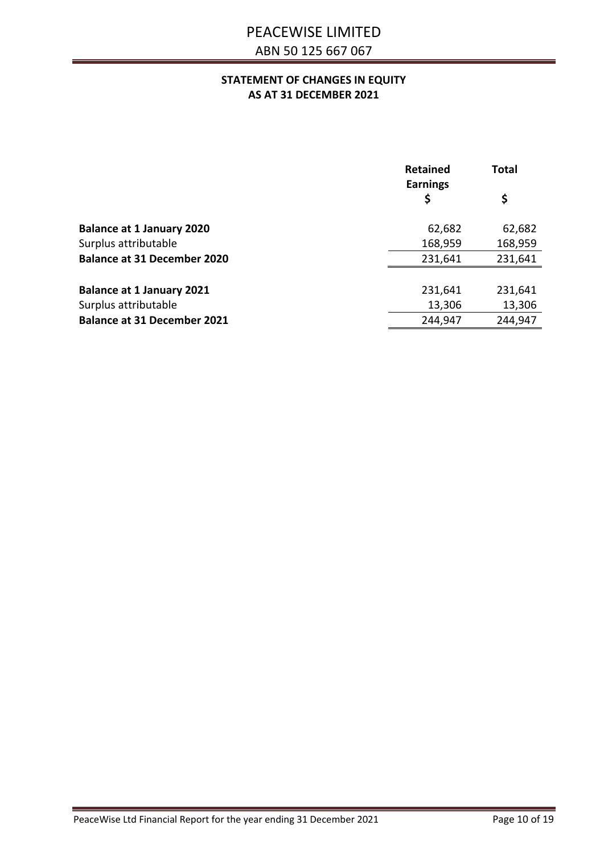## **STATEMENT OF CHANGES IN EQUITY AS AT 31 DECEMBER 2021**

|                                    | <b>Retained</b><br><b>Earnings</b> | <b>Total</b> |
|------------------------------------|------------------------------------|--------------|
|                                    | \$                                 | \$           |
| <b>Balance at 1 January 2020</b>   | 62,682                             | 62,682       |
| Surplus attributable               | 168,959                            | 168,959      |
| <b>Balance at 31 December 2020</b> | 231,641                            | 231,641      |
|                                    |                                    |              |
| <b>Balance at 1 January 2021</b>   | 231,641                            | 231,641      |
| Surplus attributable               | 13,306                             | 13,306       |
| <b>Balance at 31 December 2021</b> | 244,947                            | 244,947      |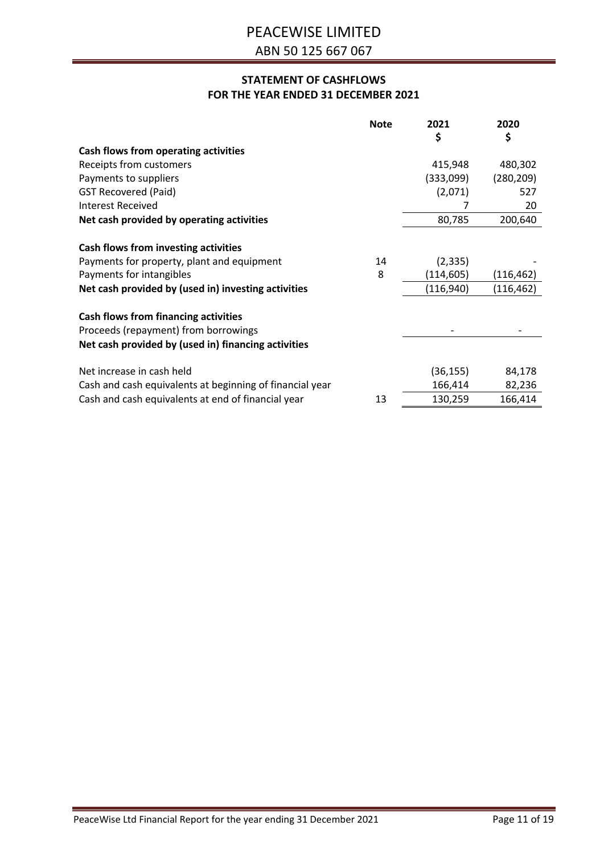# **STATEMENT OF CASHFLOWS FOR THE YEAR ENDED 31 DECEMBER 2021**

|                                                                              | <b>Note</b> | 2021       | 2020       |
|------------------------------------------------------------------------------|-------------|------------|------------|
|                                                                              |             | \$         | \$         |
| Cash flows from operating activities                                         |             |            |            |
| Receipts from customers                                                      |             | 415,948    | 480,302    |
| Payments to suppliers                                                        |             | (333,099)  | (280, 209) |
| <b>GST Recovered (Paid)</b>                                                  |             | (2,071)    | 527        |
| <b>Interest Received</b>                                                     |             | 7          | 20         |
| Net cash provided by operating activities                                    |             | 80,785     | 200,640    |
| Cash flows from investing activities                                         |             |            |            |
| Payments for property, plant and equipment                                   | 14          | (2, 335)   |            |
| Payments for intangibles                                                     | 8           | (114, 605) | (116, 462) |
| Net cash provided by (used in) investing activities                          |             | (116, 940) | (116, 462) |
| Cash flows from financing activities<br>Proceeds (repayment) from borrowings |             |            |            |
| Net cash provided by (used in) financing activities                          |             |            |            |
| Net increase in cash held                                                    |             | (36, 155)  | 84,178     |
| Cash and cash equivalents at beginning of financial year                     |             | 166,414    | 82,236     |
| Cash and cash equivalents at end of financial year                           | 13          | 130,259    | 166,414    |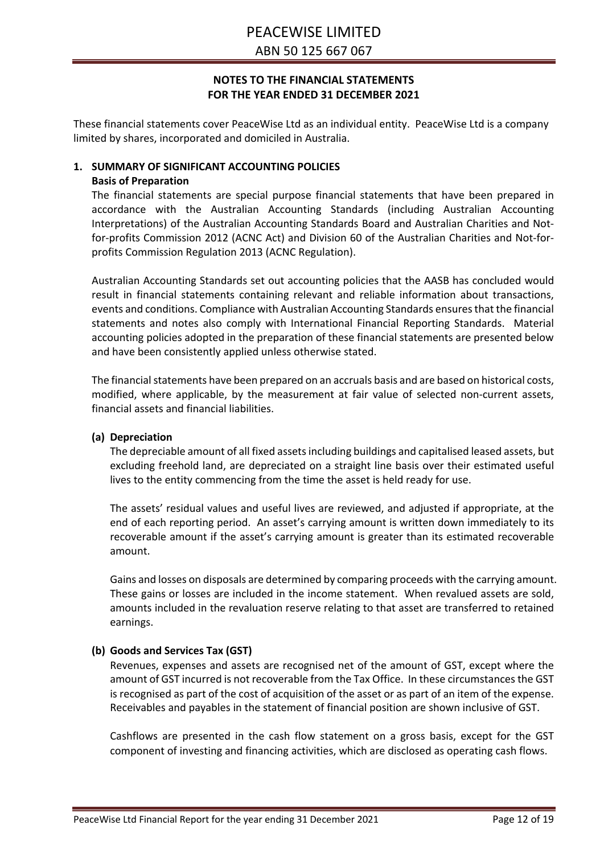These financial statements cover PeaceWise Ltd as an individual entity. PeaceWise Ltd is a company limited by shares, incorporated and domiciled in Australia.

# **1. SUMMARY OF SIGNIFICANT ACCOUNTING POLICIES Basis of Preparation**

The financial statements are special purpose financial statements that have been prepared in accordance with the Australian Accounting Standards (including Australian Accounting Interpretations) of the Australian Accounting Standards Board and Australian Charities and Notfor-profits Commission 2012 (ACNC Act) and Division 60 of the Australian Charities and Not-forprofits Commission Regulation 2013 (ACNC Regulation).

Australian Accounting Standards set out accounting policies that the AASB has concluded would result in financial statements containing relevant and reliable information about transactions, events and conditions. Compliance with Australian Accounting Standards ensures that the financial statements and notes also comply with International Financial Reporting Standards. Material accounting policies adopted in the preparation of these financial statements are presented below and have been consistently applied unless otherwise stated.

The financial statements have been prepared on an accruals basis and are based on historical costs, modified, where applicable, by the measurement at fair value of selected non-current assets, financial assets and financial liabilities.

#### **(a) Depreciation**

The depreciable amount of all fixed assets including buildings and capitalised leased assets, but excluding freehold land, are depreciated on a straight line basis over their estimated useful lives to the entity commencing from the time the asset is held ready for use.

The assets' residual values and useful lives are reviewed, and adjusted if appropriate, at the end of each reporting period. An asset's carrying amount is written down immediately to its recoverable amount if the asset's carrying amount is greater than its estimated recoverable amount.

Gains and losses on disposals are determined by comparing proceeds with the carrying amount. These gains or losses are included in the income statement. When revalued assets are sold, amounts included in the revaluation reserve relating to that asset are transferred to retained earnings.

## **(b) Goods and Services Tax (GST)**

Revenues, expenses and assets are recognised net of the amount of GST, except where the amount of GST incurred is not recoverable from the Tax Office. In these circumstances the GST is recognised as part of the cost of acquisition of the asset or as part of an item of the expense. Receivables and payables in the statement of financial position are shown inclusive of GST.

Cashflows are presented in the cash flow statement on a gross basis, except for the GST component of investing and financing activities, which are disclosed as operating cash flows.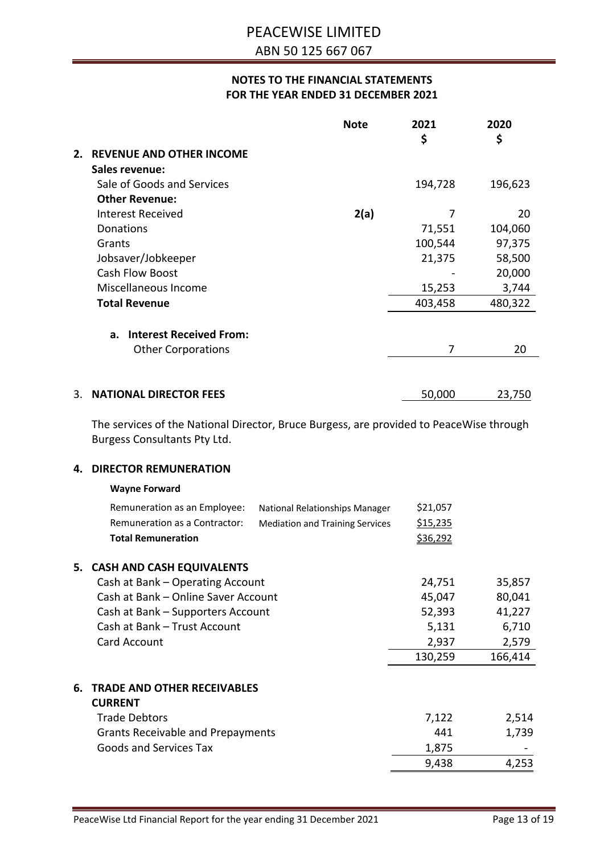|    |                                                                                                                         | <b>Note</b>                            | 2021<br>\$      | 2020<br>\$      |
|----|-------------------------------------------------------------------------------------------------------------------------|----------------------------------------|-----------------|-----------------|
|    | 2. REVENUE AND OTHER INCOME                                                                                             |                                        |                 |                 |
|    | Sales revenue:                                                                                                          |                                        |                 |                 |
|    | Sale of Goods and Services                                                                                              |                                        | 194,728         | 196,623         |
|    | <b>Other Revenue:</b>                                                                                                   |                                        |                 |                 |
|    | <b>Interest Received</b>                                                                                                | 2(a)                                   | 7               | 20              |
|    | Donations                                                                                                               |                                        | 71,551          | 104,060         |
|    | Grants                                                                                                                  |                                        | 100,544         | 97,375          |
|    | Jobsaver/Jobkeeper<br>Cash Flow Boost                                                                                   |                                        | 21,375          | 58,500          |
|    | Miscellaneous Income                                                                                                    |                                        | 15,253          | 20,000<br>3,744 |
|    | <b>Total Revenue</b>                                                                                                    |                                        | 403,458         | 480,322         |
|    |                                                                                                                         |                                        |                 |                 |
|    | <b>Interest Received From:</b><br>a.                                                                                    |                                        |                 |                 |
|    | <b>Other Corporations</b>                                                                                               |                                        | 7               | 20              |
|    |                                                                                                                         |                                        |                 |                 |
|    |                                                                                                                         |                                        |                 |                 |
| 3. | <b>NATIONAL DIRECTOR FEES</b>                                                                                           |                                        | 50,000          | 23,750          |
|    | The services of the National Director, Bruce Burgess, are provided to PeaceWise through<br>Burgess Consultants Pty Ltd. |                                        |                 |                 |
| 4. | <b>DIRECTOR REMUNERATION</b>                                                                                            |                                        |                 |                 |
|    | <b>Wayne Forward</b>                                                                                                    |                                        |                 |                 |
|    | Remuneration as an Employee:                                                                                            | National Relationships Manager         | \$21,057        |                 |
|    | Remuneration as a Contractor:                                                                                           | <b>Mediation and Training Services</b> | \$15,235        |                 |
|    | <b>Total Remuneration</b>                                                                                               |                                        | <u>\$36,292</u> |                 |
|    |                                                                                                                         |                                        |                 |                 |
|    | 5. CASH AND CASH EQUIVALENTS                                                                                            |                                        |                 |                 |
|    | Cash at Bank - Operating Account                                                                                        |                                        | 24,751          | 35,857          |
|    | Cash at Bank - Online Saver Account                                                                                     |                                        | 45,047          | 80,041          |
|    | Cash at Bank - Supporters Account                                                                                       |                                        | 52,393          | 41,227          |
|    | Cash at Bank - Trust Account                                                                                            |                                        | 5,131           | 6,710           |
|    | Card Account                                                                                                            |                                        | 2,937           | 2,579           |
|    |                                                                                                                         |                                        | 130,259         | 166,414         |
|    | <b>6. TRADE AND OTHER RECEIVABLES</b><br><b>CURRENT</b>                                                                 |                                        |                 |                 |
|    | <b>Trade Debtors</b>                                                                                                    |                                        | 7,122           | 2,514           |
|    | <b>Grants Receivable and Prepayments</b>                                                                                |                                        | 441             | 1,739           |
|    | <b>Goods and Services Tax</b>                                                                                           |                                        | 1,875           |                 |
|    |                                                                                                                         |                                        | 9,438           | 4,253           |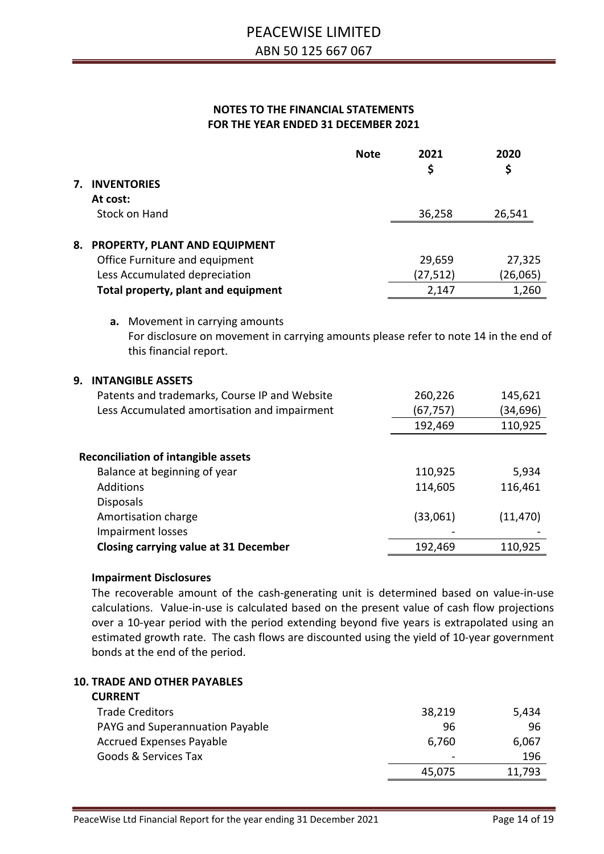|    |                                                                                                                                                                                             | <b>Note</b> | 2021<br>\$ | 2020<br>\$ |
|----|---------------------------------------------------------------------------------------------------------------------------------------------------------------------------------------------|-------------|------------|------------|
| 7. | <b>INVENTORIES</b>                                                                                                                                                                          |             |            |            |
|    | At cost:                                                                                                                                                                                    |             |            |            |
|    | Stock on Hand                                                                                                                                                                               |             | 36,258     | 26,541     |
| 8. | PROPERTY, PLANT AND EQUIPMENT                                                                                                                                                               |             |            |            |
|    | Office Furniture and equipment                                                                                                                                                              |             | 29,659     | 27,325     |
|    | Less Accumulated depreciation                                                                                                                                                               |             | (27, 512)  | (26,065)   |
|    | Total property, plant and equipment                                                                                                                                                         |             | 2,147      | 1,260      |
| 9. | For disclosure on movement in carrying amounts please refer to note 14 in the end of<br>this financial report.<br><b>INTANGIBLE ASSETS</b><br>Patents and trademarks, Course IP and Website |             | 260,226    | 145,621    |
|    | Less Accumulated amortisation and impairment                                                                                                                                                |             | (67, 757)  | (34, 696)  |
|    |                                                                                                                                                                                             |             | 192,469    | 110,925    |
|    | <b>Reconciliation of intangible assets</b>                                                                                                                                                  |             |            |            |
|    | Balance at beginning of year                                                                                                                                                                |             | 110,925    | 5,934      |
|    | Additions                                                                                                                                                                                   |             | 114,605    | 116,461    |
|    | <b>Disposals</b><br>Amortisation charge<br>Impairment losses                                                                                                                                |             | (33,061)   | (11, 470)  |
|    | <b>Closing carrying value at 31 December</b>                                                                                                                                                |             | 192,469    | 110,925    |
|    |                                                                                                                                                                                             |             |            |            |

#### **Impairment Disclosures**

The recoverable amount of the cash-generating unit is determined based on value-in-use calculations. Value-in-use is calculated based on the present value of cash flow projections over a 10-year period with the period extending beyond five years is extrapolated using an estimated growth rate. The cash flows are discounted using the yield of 10-year government bonds at the end of the period.

# **10. TRADE AND OTHER PAYABLES**

# **CURRENT** Trade Creditors 6 and 200 and 200 and 200 and 38,219 and 38,219 and 38,219 and 38,219 and 38,219 and 38,219 and 38,219 and 38,219 and 38,219 and 38,219 and 38,219 and 38,219 and 38,219 and 38,219 and 38,219 and 38,219 and PAYG and Superannuation Payable 96 96 Accrued Expenses Payable 6,760 6,760 6,067 Goods & Services Tax and the services of the services of the services of the services of the services of the services of the services of the services of the services of the services of the services of the services of the s 45,075 11,793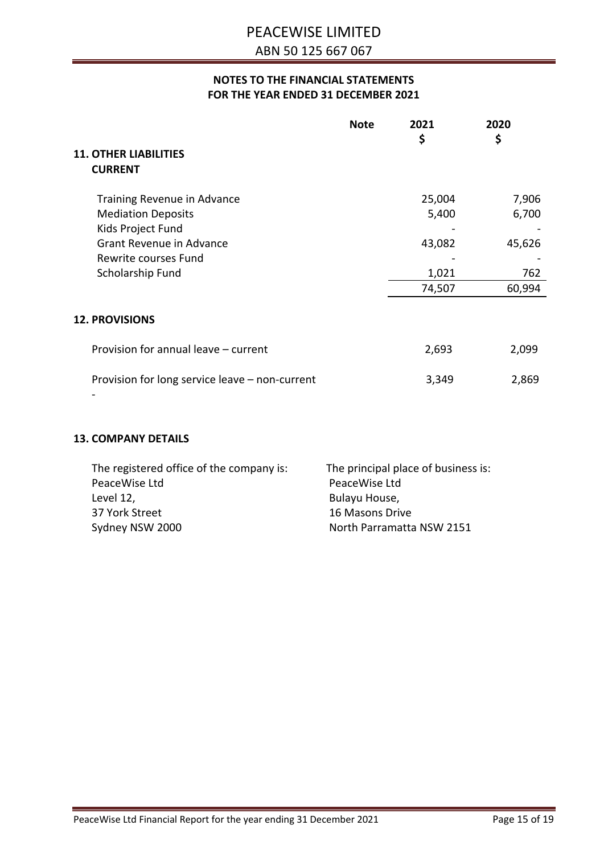| <b>Note</b>                                                                                                                                           | 2021<br>\$                                   | 2020<br>\$                                |
|-------------------------------------------------------------------------------------------------------------------------------------------------------|----------------------------------------------|-------------------------------------------|
| <b>11. OTHER LIABILITIES</b><br><b>CURRENT</b>                                                                                                        |                                              |                                           |
| Training Revenue in Advance<br><b>Mediation Deposits</b><br>Kids Project Fund<br>Grant Revenue in Advance<br>Rewrite courses Fund<br>Scholarship Fund | 25,004<br>5,400<br>43,082<br>1,021<br>74,507 | 7,906<br>6,700<br>45,626<br>762<br>60,994 |
| <b>12. PROVISIONS</b>                                                                                                                                 |                                              |                                           |
| Provision for annual leave - current                                                                                                                  | 2,693                                        | 2,099                                     |
| Provision for long service leave - non-current                                                                                                        | 3,349                                        | 2,869                                     |

#### **13. COMPANY DETAILS**

| The registered office of the company is: | The principal place of business is: |
|------------------------------------------|-------------------------------------|
| PeaceWise Ltd                            | PeaceWise Ltd                       |
| Level 12,                                | Bulayu House,                       |
| 37 York Street                           | 16 Masons Drive                     |
| Sydney NSW 2000                          | North Parramatta NSW 2151           |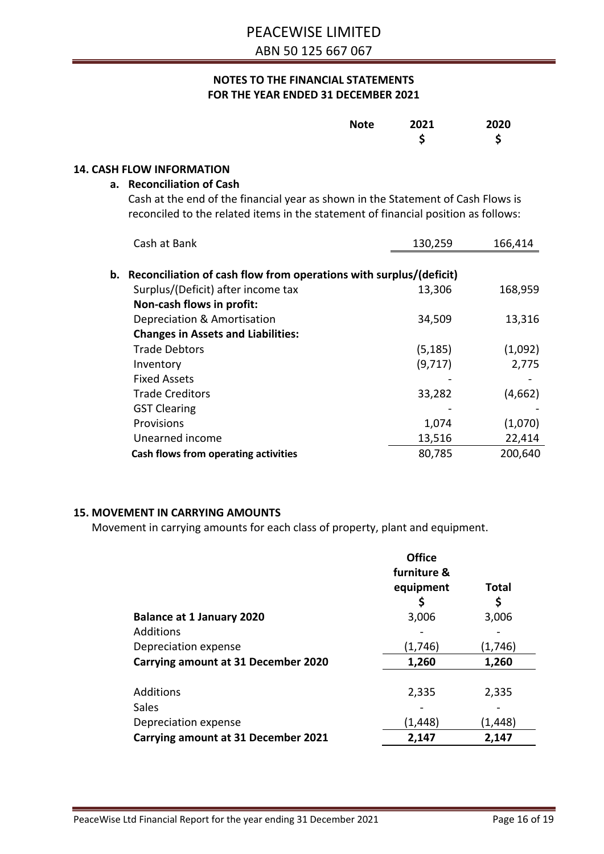| <b>Note</b> | 2021 | 2020 |
|-------------|------|------|
|             |      | Ś    |

#### **14. CASH FLOW INFORMATION**

## **a. Reconciliation of Cash**

Cash at the end of the financial year as shown in the Statement of Cash Flows is reconciled to the related items in the statement of financial position as follows:

| Cash at Bank                                                          | 130,259  | 166,414 |
|-----------------------------------------------------------------------|----------|---------|
| b. Reconciliation of cash flow from operations with surplus/(deficit) |          |         |
| Surplus/(Deficit) after income tax                                    | 13,306   | 168,959 |
| Non-cash flows in profit:                                             |          |         |
| Depreciation & Amortisation                                           | 34,509   | 13,316  |
| <b>Changes in Assets and Liabilities:</b>                             |          |         |
| <b>Trade Debtors</b>                                                  | (5, 185) | (1,092) |
| Inventory                                                             | (9,717)  | 2,775   |
| <b>Fixed Assets</b>                                                   |          |         |
| <b>Trade Creditors</b>                                                | 33,282   | (4,662) |
| <b>GST Clearing</b>                                                   |          |         |
| Provisions                                                            | 1,074    | (1,070) |
| Unearned income                                                       | 13,516   | 22,414  |
| Cash flows from operating activities                                  | 80,785   | 200,640 |

#### **15. MOVEMENT IN CARRYING AMOUNTS**

Movement in carrying amounts for each class of property, plant and equipment.

|                                     | <b>Office</b><br>furniture &<br>equipment | <b>Total</b> |
|-------------------------------------|-------------------------------------------|--------------|
|                                     |                                           | \$           |
| <b>Balance at 1 January 2020</b>    | 3,006                                     | 3,006        |
| Additions                           |                                           |              |
| Depreciation expense                | (1,746)                                   | (1,746)      |
| Carrying amount at 31 December 2020 | 1,260                                     | 1,260        |
|                                     |                                           |              |
| Additions                           | 2,335                                     | 2,335        |
| Sales                               |                                           |              |
| Depreciation expense                | (1,448)                                   | (1,448)      |
| Carrying amount at 31 December 2021 | 2,147                                     | 2,147        |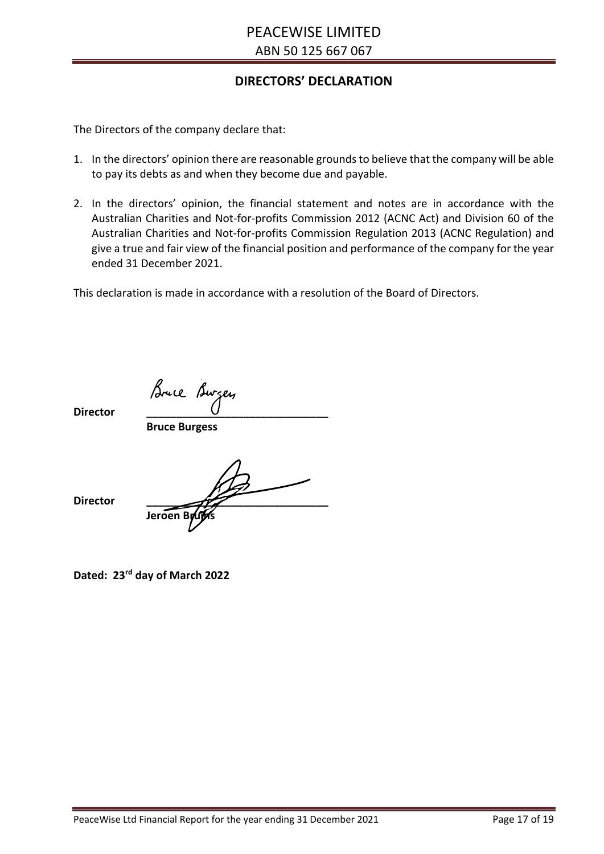# **DIRECTORS' DECLARATION**

The Directors of the company declare that:

- 1. In the directors' opinion there are reasonable grounds to believe that the company will be able to pay its debts as and when they become due and payable.
- 2. In the directors' opinion, the financial statement and notes are in accordance with the Australian Charities and Not-for-profits Commission 2012 (ACNC Act) and Division 60 of the Australian Charities and Not-for-profits Commission Regulation 2013 (ACNC Regulation) and give a true and fair view of the financial position and performance of the company for the year ended 31 December 2021.

This declaration is made in accordance with a resolution of the Board of Directors.

**Director \_\_\_\_\_\_\_\_\_\_\_\_\_\_\_\_\_\_\_\_\_\_\_\_\_\_\_\_\_\_**

**Bruce Burgess**

Jeroen Bruin

**Director \_\_\_\_\_\_\_\_\_\_\_\_\_\_\_\_\_\_\_\_\_\_\_\_\_\_\_\_\_\_**

**Dated: 23rd day of March 2022**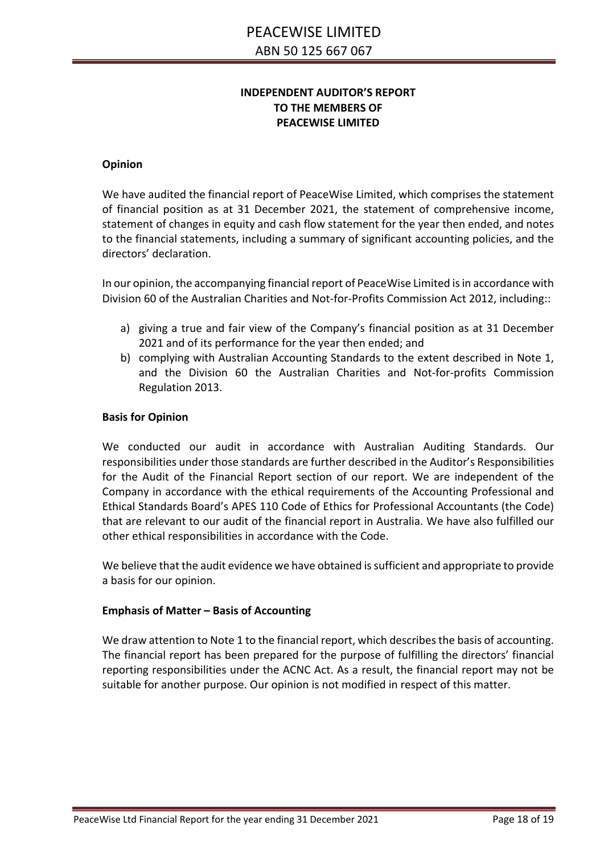# **INDEPENDENT AUDITOR'S REPORT TO THE MEMBERS OF PEACEWISE LIMITED**

#### **Opinion**

We have audited the financial report of PeaceWise Limited, which comprises the statement of financial position as at 31 December 2021, the statement of comprehensive income, statement of changes in equity and cash flow statement for the year then ended, and notes to the financial statements, including a summary of significant accounting policies, and the directors' declaration.

In our opinion, the accompanying financial report of PeaceWise Limited is in accordance with Division 60 of the Australian Charities and Not-for-Profits Commission Act 2012, including::

- a) giving a true and fair view of the Company's financial position as at 31 December 2021 and of its performance for the year then ended; and
- b) complying with Australian Accounting Standards to the extent described in Note 1, and the Division 60 the Australian Charities and Not-for-profits Commission Regulation 2013.

#### **Basis for Opinion**

We conducted our audit in accordance with Australian Auditing Standards. Our responsibilities under those standards are further described in the Auditor's Responsibilities for the Audit of the Financial Report section of our report. We are independent of the Company in accordance with the ethical requirements of the Accounting Professional and Ethical Standards Board's APES 110 Code of Ethics for Professional Accountants (the Code) that are relevant to our audit of the financial report in Australia. We have also fulfilled our other ethical responsibilities in accordance with the Code.

We believe that the audit evidence we have obtained is sufficient and appropriate to provide a basis for our opinion.

#### **Emphasis of Matter – Basis of Accounting**

We draw attention to Note 1 to the financial report, which describes the basis of accounting. The financial report has been prepared for the purpose of fulfilling the directors' financial reporting responsibilities under the ACNC Act. As a result, the financial report may not be suitable for another purpose. Our opinion is not modified in respect of this matter.